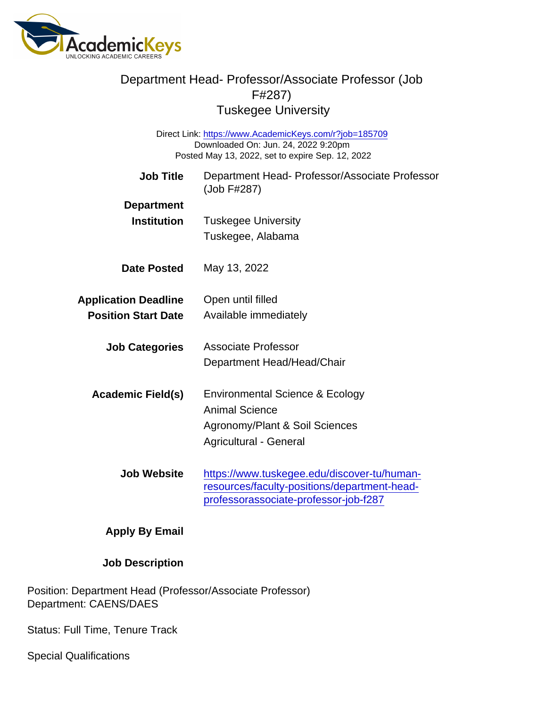Direct Link: <https://www.AcademicKeys.com/r?job=185709> Downloaded On: Jun. 24, 2022 9:20pm Posted May 13, 2022, set to expire Sep. 12, 2022

| <b>Job Title</b>            | Department Head- Professor/Associate Professor<br>(Job F#287) |
|-----------------------------|---------------------------------------------------------------|
| Department                  |                                                               |
| Institution                 | <b>Tuskegee University</b>                                    |
|                             | Tuskegee, Alabama                                             |
| Date Posted                 | May 13, 2022                                                  |
| <b>Application Deadline</b> | Open until filled                                             |
| <b>Position Start Date</b>  | Available immediately                                         |
| <b>Job Categories</b>       | Associate Professor                                           |
|                             | Department Head/Head/Chair                                    |
| Academic Field(s)           | Environmental Science & Ecology                               |
|                             | <b>Animal Science</b>                                         |
|                             | Agronomy/Plant & Soil Sciences                                |
|                             | Agricultural - General                                        |
| Job Website                 | https://www.tuskegee.edu/discover-tu/human-                   |
|                             | resources/faculty-positions/department-head-                  |
|                             | professorassociate-professor-job-f287                         |
| Apply By Email              |                                                               |

Job Description

Position: Department Head (Professor/Associate Professor) Department: CAENS/DAES

Status: Full Time, Tenure Track

Special Qualifications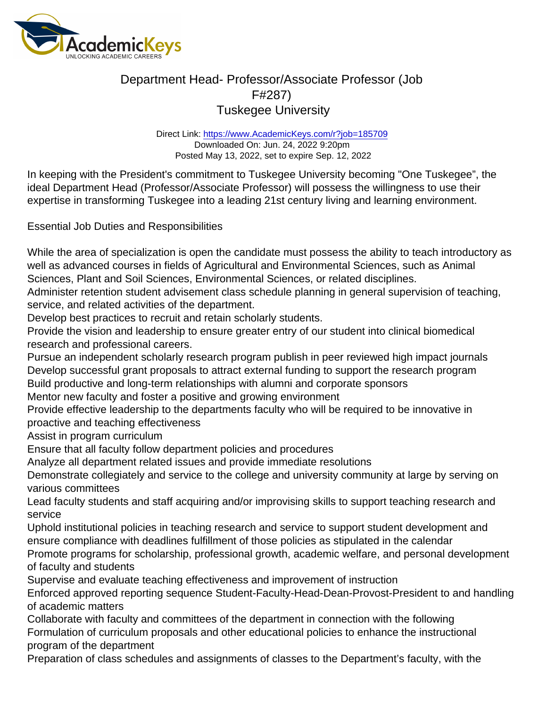Direct Link: <https://www.AcademicKeys.com/r?job=185709> Downloaded On: Jun. 24, 2022 9:20pm Posted May 13, 2022, set to expire Sep. 12, 2022

In keeping with the President's commitment to Tuskegee University becoming "One Tuskegee", the ideal Department Head (Professor/Associate Professor) will possess the willingness to use their expertise in transforming Tuskegee into a leading 21st century living and learning environment.

Essential Job Duties and Responsibilities

While the area of specialization is open the candidate must possess the ability to teach introductory as well as advanced courses in fields of Agricultural and Environmental Sciences, such as Animal Sciences, Plant and Soil Sciences, Environmental Sciences, or related disciplines.

Administer retention student advisement class schedule planning in general supervision of teaching, service, and related activities of the department.

Develop best practices to recruit and retain scholarly students.

Provide the vision and leadership to ensure greater entry of our student into clinical biomedical research and professional careers.

Pursue an independent scholarly research program publish in peer reviewed high impact journals Develop successful grant proposals to attract external funding to support the research program Build productive and long-term relationships with alumni and corporate sponsors Mentor new faculty and foster a positive and growing environment

Provide effective leadership to the departments faculty who will be required to be innovative in proactive and teaching effectiveness

Assist in program curriculum

Ensure that all faculty follow department policies and procedures

Analyze all department related issues and provide immediate resolutions

Demonstrate collegiately and service to the college and university community at large by serving on various committees

Lead faculty students and staff acquiring and/or improvising skills to support teaching research and service

Uphold institutional policies in teaching research and service to support student development and ensure compliance with deadlines fulfillment of those policies as stipulated in the calendar

Promote programs for scholarship, professional growth, academic welfare, and personal development of faculty and students

Supervise and evaluate teaching effectiveness and improvement of instruction

Enforced approved reporting sequence Student-Faculty-Head-Dean-Provost-President to and handling of academic matters

Collaborate with faculty and committees of the department in connection with the following Formulation of curriculum proposals and other educational policies to enhance the instructional program of the department

Preparation of class schedules and assignments of classes to the Department's faculty, with the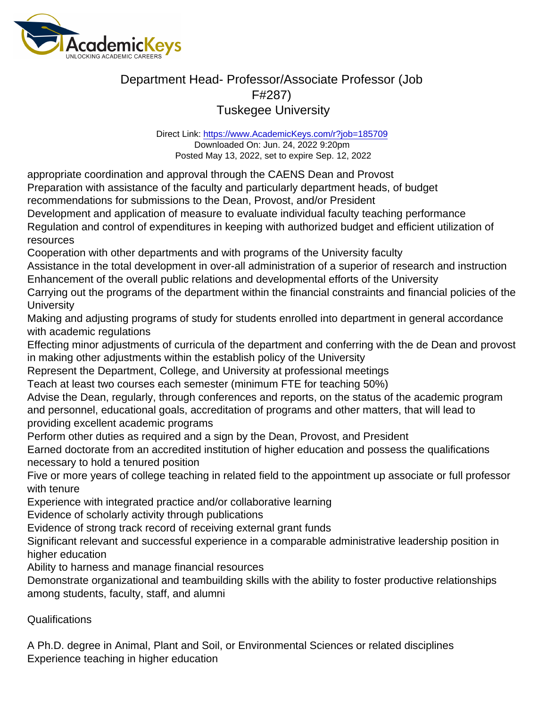Direct Link: <https://www.AcademicKeys.com/r?job=185709> Downloaded On: Jun. 24, 2022 9:20pm Posted May 13, 2022, set to expire Sep. 12, 2022

appropriate coordination and approval through the CAENS Dean and Provost

Preparation with assistance of the faculty and particularly department heads, of budget

recommendations for submissions to the Dean, Provost, and/or President

Development and application of measure to evaluate individual faculty teaching performance Regulation and control of expenditures in keeping with authorized budget and efficient utilization of

resources

Cooperation with other departments and with programs of the University faculty

Assistance in the total development in over-all administration of a superior of research and instruction Enhancement of the overall public relations and developmental efforts of the University

Carrying out the programs of the department within the financial constraints and financial policies of the **University** 

Making and adjusting programs of study for students enrolled into department in general accordance with academic regulations

Effecting minor adjustments of curricula of the department and conferring with the de Dean and provost in making other adjustments within the establish policy of the University

Represent the Department, College, and University at professional meetings

Teach at least two courses each semester (minimum FTE for teaching 50%)

Advise the Dean, regularly, through conferences and reports, on the status of the academic program and personnel, educational goals, accreditation of programs and other matters, that will lead to providing excellent academic programs

Perform other duties as required and a sign by the Dean, Provost, and President

Earned doctorate from an accredited institution of higher education and possess the qualifications necessary to hold a tenured position

Five or more years of college teaching in related field to the appointment up associate or full professor with tenure

Experience with integrated practice and/or collaborative learning

Evidence of scholarly activity through publications

Evidence of strong track record of receiving external grant funds

Significant relevant and successful experience in a comparable administrative leadership position in higher education

Ability to harness and manage financial resources

Demonstrate organizational and teambuilding skills with the ability to foster productive relationships among students, faculty, staff, and alumni

#### Qualifications

A Ph.D. degree in Animal, Plant and Soil, or Environmental Sciences or related disciplines Experience teaching in higher education